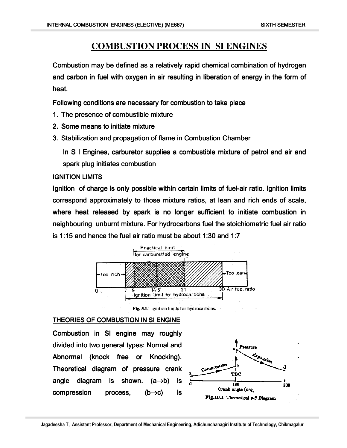# **COMBUSTION PROCESS IN SI ENGINES**

Combustion may be defined as a relatively rapid chemical combination of hydrogen and carbon in fuel with oxygen in air resulting in liberation of energy in the form of heat.

Following conditions are necessary for combustion to take place

- 1. The presence of combustible mixture
- 2. Some means to initiate mixture
- 3. Stabilization and propagation of flame in Combustion Chamber

In S I Engines, carburetor supplies a combustible mixture of petrol and air and spark plug initiates combustion

### IGNITION LIMITS

Ignition of charge is only possible within certain limits of fuel-air ratio. Ignition limits correspond approximately to those mixture ratios, at lean and rich ends of scale, where heat released by spark is no longer sufficient to initiate combustion in neighbouring unburnt mixture. For hydrocarbons fuel the stoichiometric fuel air ratio is 1:15 and hence the fuel air ratio must be about 1:30 and 1:7



Fig. 5.1. Ignition limits for hydrocarbons.

### THEORIES OF COMBUSTION IN SI ENGINE

Combustion in SI engine may roughly divided into two general types: Normal and Abnormal (knock free or Knocking). Theoretical diagram of pressure crank angle diagram is shown.  $(a\rightarrow b)$  is compression process,  $(b\rightarrow c)$  is

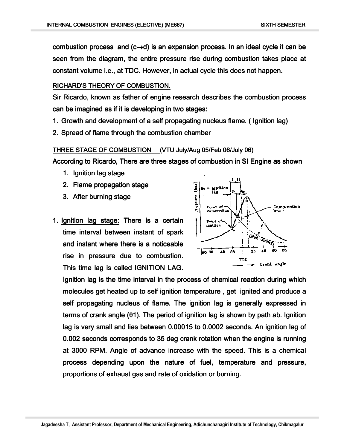combustion process and (c $\rightarrow$ d) is an expansion process. In an ideal cycle it can be seen from the diagram, the entire pressure rise during combustion takes place at constant volume i.e., at TDC. However, in actual cycle this does not happen.

#### RICHARD'S THEORY OF COMBUSTION.

Sir Ricardo, known as father of engine research describes the combustion process can be imagined as if it is developing in two stages:

- 1. Growth and development of a self propagating nucleus flame. (Ignition lag)
- 2. Spread of flame through the combustion chamber

THREE STAGE OF COMBUSTION (VTU July/Aug 05/Feb 06/July 06)

According to Ricardo, There are three stages of combustion in SI Engine as shown

- 1. Ignition lag stage
- 2. Flame propagation stage
- 3. After burning stage
- 1. Ignition lag stage: There is a certain time interval between instant of spark and instant where there is a noticeable rise in pressure due to combustion. This time lag is called IGNITION LAG.



Ignition lag is the time interval in the process of chemical reaction during which molecules get heated up to self ignition temperature, get ignited and produce a self propagating nucleus of flame. The ignition lag is generally expressed in terms of crank angle ( $\theta$ 1). The period of ignition lag is shown by path ab. Ignition lag is very small and lies between 0.00015 to 0.0002 seconds. An ignition lag of 0.002 seconds corresponds to 35 deg crank rotation when the engine is running at 3000 RPM. Angle of advance increase with the speed. This is a chemical process depending upon the nature of fuel, temperature and pressure, proportions of exhaust gas and rate of oxidation or burning.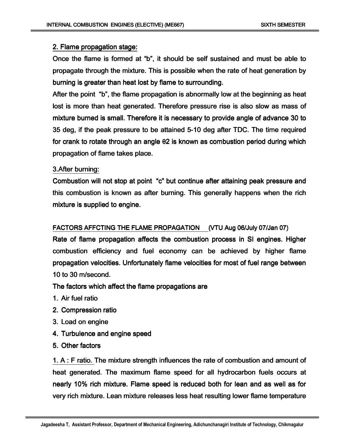### 2. Flame propagation stage:

Once the flame is formed at "b", it should be self sustained and must be able to propagate through the mixture. This is possible when the rate of heat generation by burning is greater than heat lost by flame to surrounding.

After the point "b", the flame propagation is abnormally low at the beginning as heat lost is more than heat generated. Therefore pressure rise is also slow as mass of mixture burned is small. Therefore it is necessary to provide angle of advance 30 to 35 deg, if the peak pressure to be attained 5-10 deg after TDC. The time required for crank to rotate through an angle θ2 is known as combustion period during which propagation of flame takes place.

#### 3. After burning:

Combustion will not stop at point "c" but continue after attaining peak pressure and this combustion is known as after burning. This generally happens when the rich mixture is supplied to engine.

### FACTORS AFFCTING THE FLAME PROPAGATION (VTU Aug 06/July 07/Jan 07)

Rate of flame propagation affects the combustion process in SI engines. Higher combustion efficiency and fuel economy can be achieved by higher flame propagation velocities. Unfortunately flame velocities for most of fuel range between 10 to 30 m/second.

The factors which affect the flame propagations are

- 1. Air fuel ratio
- 2. Compression ratio
- 3. Load on engine
- 4. Turbulence and engine speed
- 5. Other factors Ī

1. A: F ratio. The mixture strength influences the rate of combustion and amount of heat generated. The maximum flame speed for all hydrocarbon fuels occurs at nearly 10% rich mixture. Flame speed is reduced both for lean and as well as for very rich mixture. Lean mixture releases less heat resulting lower flame temperature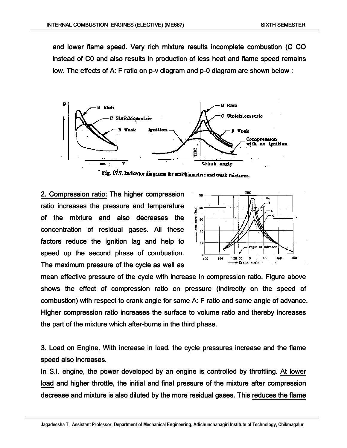and lower flame speed. Very rich mixture results incomplete combustion (C CO instead of C0 and also results in production of less heat and flame speed remains low. The effects of A: F ratio on p-v diagram and p-0 diagram are shown below :



Fig. 17.7. Indicator diagrams for stoichiometric and weak mixtures.

2. Compression ratio: The higher compression ratio increases the pressure and temperature of the mixture and also decreases the concentration of residual gases. All these factors reduce the ignition lag and help to speed up the second phase of combustion. The maximum pressure of the cycle as well as



mean effective pressure of the cycle with increase in compression ratio. Figure above shows the effect of compression ratio on pressure (indirectly on the speed of combustion) with respect to crank angle for same A: F ratio and same angle of advance. Higher compression ratio increases the surface to volume ratio and thereby increases the part of the mixture which after-burns in the third phase.

3. Load on Engine. With increase in load, the cycle pressures increase and the flame speed also increases.

In S.I. engine, the power developed by an engine is controlled by throttling. At lower load and higher throttle, the initial and final pressure of the mixture after compression decrease and mixture is also diluted by the more residual gases. This reduces the flame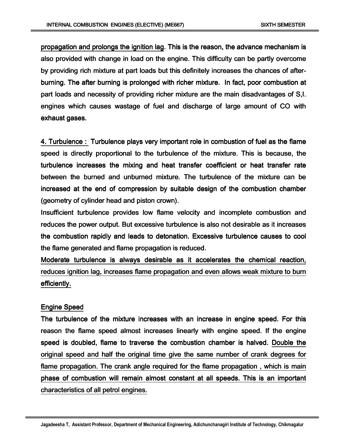propagation and prolongs the ignition lag. This is the reason, the advance mechanism is also provided with change in load on the engine. This difficulty can be partly overcome by providing rich mixture at part loads but this definitely increases the chances of afterburning. The after burning is prolonged with richer mixture. In fact, poor combustion at part loads and necessity of providing richer mixture are the main disadvantages of S,I. engines which causes wastage of fuel and discharge of large amount of CO with exhaust gases.

4. Turbulence : Turbulence plays very important role in combustion of fuel as the flame speed is directly proportional to the turbulence of the mixture. This is because, the turbulence increases the mixing and heat transfer coefficient or heat transfer rate between the burned and unburned mixture. The turbulence of the mixture can be increased at the end of compression by suitable design of the combustion chamber (geometry of cylinder head and piston crown).

Insufficient turbulence provides low flame velocity and incomplete combustion and reduces the power output. But excessive turbulence is also not desirable as it increases the combustion rapidly and leads to detonation. Excessive turbulence causes to cool the flame generated and flame propagation is reduced.

Moderate turbulence is always desirable as it accelerates the chemical reaction, reduces ignition lag, increases flame propagation and even allows weak mixture to burn efficiently.

#### Engine Speed

The turbulence of the mixture increases with an increase in engine speed. For this reason the flame speed almost increases linearly with engine speed. If the engine speed is doubled, flame to traverse the combustion chamber is halved. Double the original speed and half the original time give the same number of crank degrees for flame propagation. The crank angle required for the flame propagation , which is main phase of combustion will remain almost constant at all speeds. This is an important characteristics of all petrol engines.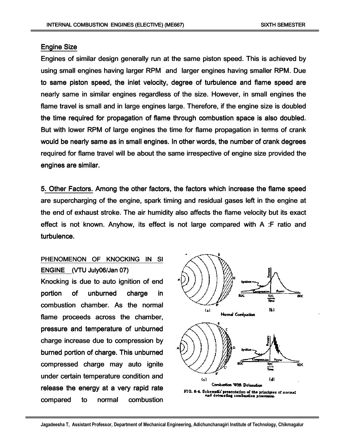### **Engine Size**

Engines of similar design generally run at the same piston speed. This is achieved by using small engines having larger RPM and larger engines having smaller RPM. Due to same piston speed, the inlet velocity, degree of turbulence and flame speed are nearly same in similar engines regardless of the size. However, in small engines the flame travel is small and in large engines large. Therefore, if the engine size is doubled the time required for propagation of flame through combustion space is also doubled. But with lower RPM of large engines the time for flame propagation in terms of crank would be nearly same as in small engines. In other words, the number of crank degrees required for flame travel will be about the same irrespective of engine size provided the engines are similar.

5. Other Factors. Among the other factors, the factors which increase the flame speed are supercharging of the engine, spark timing and residual gases left in the engine at the end of exhaust stroke. The air humidity also affects the flame velocity but its exact effect is not known. Anyhow, its effect is not large compared with A :F ratio and turbulence.

# PHENOMENON OF KNOCKING IN SI ENGINE (VTU July06/Jan 07) Knocking is due to auto ignition of end portion of unburned charge in combustion chamber. As the normal flame proceeds across the chamber, pressure and temperature of unburned charge increase due to compression by burned portion of charge. This unburned compressed charge may auto ignite under certain temperature condition and release the energy at a very rapid rate compared to normal combustion

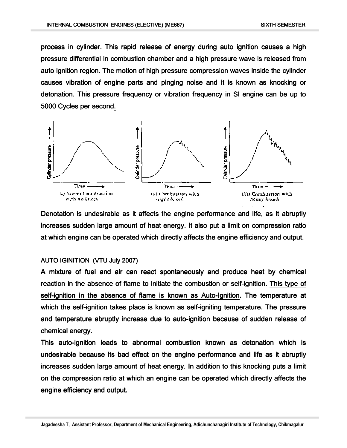process in cylinder. This rapid release of energy during auto ignition causes a high pressure differential in combustion chamber and a high pressure wave is released from auto ignition region. The motion of high pressure compression waves inside the cylinder causes vibration of engine parts and pinging noise and it is known as knocking or detonation. This pressure frequency or vibration frequency in SI engine can be up to 5000 Cycles per second.



Denotation is undesirable as it affects the engine performance and life, as it abruptly increases sudden large amount of heat energy. It also put a limit on compression ratio at which engine can be operated which directly affects the engine efficiency and output.

#### AUTO IGINITION (VTU July 2007)

A mixture of fuel and air can react spontaneously and produce heat by chemical reaction in the absence of flame to initiate the combustion or self-ignition. This type of self-ignition in the absence of flame is known as Auto-Ignition. The temperature at which the self-ignition takes place is known as self-igniting temperature. The pressure and temperature abruptly increase due to auto-ignition because of sudden release of chemical energy.

This auto-ignition leads to abnormal combustion known as detonation which is undesirable because its bad effect on the engine performance and life as it abruptly increases sudden large amount of heat energy. In addition to this knocking puts a limit on the compression ratio at which an engine can be operated which directly affects the engine efficiency and output.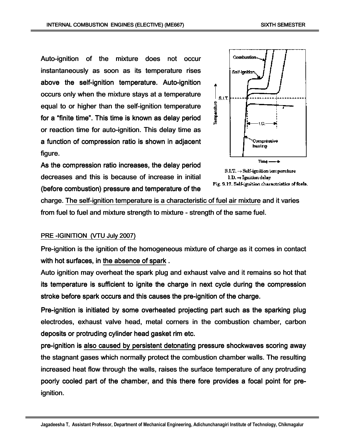Auto-ignition of the mixture does not occur instantaneously as soon as its temperature rises above the self-ignition temperature. Auto-ignition occurs only when the mixture stays at a temperature equal to or higher than the self-ignition temperature for a "finite time". This time is known as delay period or reaction time for auto-ignition. This delay time as a function of compression ratio is shown in adjacent figure.

As the compression ratio increases, the delay period decreases and this is because of increase in initial (before combustion) pressure and temperature of the





charge. The self-ignition temperature is a characteristic of fuel air mixture and it varies from fuel to fuel and mixture strength to mixture - strength of the same fuel.

### PRE -IGINITION (VTU July 2007)

Pre-ignition is the ignition of the homogeneous mixture of charge as it comes in contact with hot surfaces, in the absence of spark.

Auto ignition may overheat the spark plug and exhaust valve and it remains so hot that its temperature is sufficient to ignite the charge in next cycle during the compression stroke before spark occurs and this causes the pre-ignition of the charge.

Pre-ignition is initiated by some overheated projecting part such as the sparking plug electrodes, exhaust valve head, metal corners in the combustion chamber, carbon deposits or protruding cylinder head gasket rim etc.

pre-ignition is also caused by persistent detonating pressure shockwaves scoring away the stagnant gases which normally protect the combustion chamber walls. The resulting increased heat flow through the walls, raises the surface temperature of any protruding poorly cooled part of the chamber, and this there fore provides a focal point for preignition.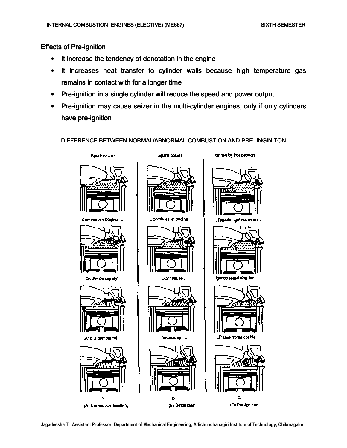### **Effects of Pre-ignition**

- It increase the tendency of denotation in the engine
- It increases heat transfer to cylinder walls because high temperature gas remains in contact with for a longer time
- Pre-ignition in a single cylinder will reduce the speed and power output
- Pre-ignition may cause seizer in the multi-cylinder engines, only if only cylinders have pre-ignition

#### DIFFERENCE BETWEEN NORMAL/ABNORMAL COMBUSTION AND PRE-INGINITON



**Jagadeesha T, Assistant Professor, Department of Mechanical Engineering, Adichunchanagiri Institute of Technology, Chikmagalur**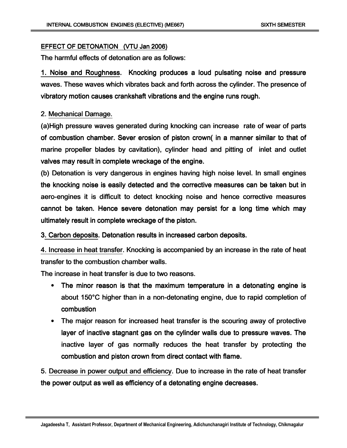#### EFFECT OF DETONATION (VTU Jan 2006)

The harmful effects of detonation are as follows:

1. Noise and Roughness. Knocking produces a loud pulsating noise and pressure waves. These waves which vibrates back and forth across the cylinder. The presence of. vibratory motion causes crankshaft vibrations and the engine runs rough.

### 2. Mechanical Damage. 2. Mechanical Damage.

(a)High pressure waves generated during knocking can increase rate of wear of parts of combustion chamber. Sever erosion of piston crown( in a manner similar to that of marine propeller blades by cavitation), cylinder head and pitting of inlet and outlet valves may result in complete wreckage of the engine.

(b) Detonation is very dangerous in engines having high noise level. In small engines the knocking noise is easily detected and the corrective measures can be taken but in aero-engines it is difficult to detect knocking noise and hence corrective measures cannot be taken. Hence severe detonation may persist for a long time which may ultimately result in complete wreckage of the piston.

3. Carbon deposits. Detonation results in increased carbon deposits.

4. Increase in heat transfer. Knocking is accompanied by an increase in the rate of heat transfer to the combustion chamber walls.

The increase in heat transfer is due to two reasons.

- The minor reason is that the maximum temperature in a detonating engine is about 150 $\degree$ C higher than in a non-detonating engine, due to rapid completion of combustion combustion
- The major reason for increased heat transfer is the scouring away of protective layer of inactive stagnant gas on the cylinder walls due to pressure waves. The inactive layer of gas normally reduces the heat transfer by protecting the combustion and piston crown from direct contact with flame.

5. Decrease in power output and efficiency. Due to increase in the rate of heat transfer the power output as well as efficiency of a detonating engine decreases.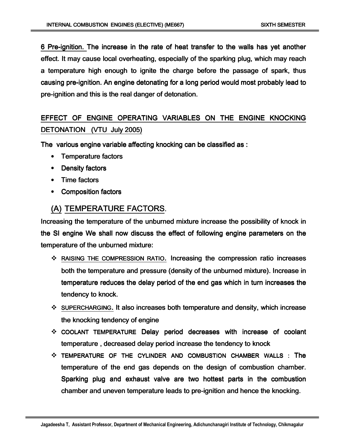6 Pre-ignition. The increase in the rate of heat transfer to the walls has yet another effect. It may cause local overheating, especially of the sparking plug, which may reach a temperature high enough to ignite the charge before the passage of spark, thus causing pre-ignition. An engine detonating for a long period would most probably lead to pre-ignition and this is the real danger of detonation.

# EFFECT OF ENGINE OPERATING VARIABLES ON THE ENGINE KNOCKING DETONATION (VTU July 2005)

The various engine variable affecting knocking can be classified as :

- Temperature factors
- Density factors
- $\bullet$  Time factors
- $\bullet$  Composition factors

# (A) TEMPERATURE FACTORS.

Increasing the temperature of the unburned mixture increase the possibility of knock in the SI engine We shall now discuss the effect of following engine parameters on the temperature of the unburned mixture:

- $\cdot$  RAISING THE COMPRESSION RATIO. Increasing the compression ratio increases both the temperature and pressure (density of the unburned mixture). Increase in temperature reduces the delay period of the end gas which in turn increases the tendency to knock.
- $\cdot$  SUPERCHARGING. It also increases both temperature and density, which increase the knocking tendency of engine
- $\div$  COOLANT TEMPERATURE Delay period decreases with increase of coolant temperature, decreased delay period increase the tendency to knock
- $\div$  TEMPERATURE OF THE CYLINDER AND COMBUSTION CHAMBER WALLS : The temperature of the end gas depends on the design of combustion chamber. Sparking plug and exhaust valve are two hottest parts in the combustion chamber and uneven temperature leads to pre-ignition and hence the knocking.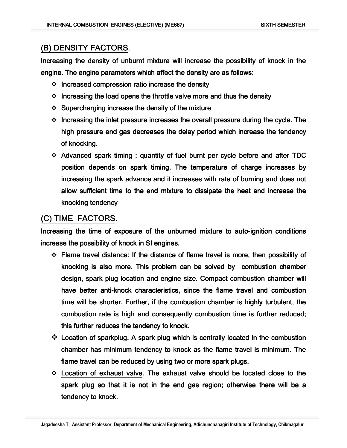# (B) DENSITY FACTORS.

Increasing the density of unburnt mixture will increase the possibility of knock in the engine. The engine parameters which affect the density are as follows:

- $\cdot$  Increased compression ratio increase the density
- $\cdot$  Increasing the load opens the throttle valve more and thus the density
- $\div$  Supercharging increase the density of the mixture
- $\div$  Increasing the inlet pressure increases the overall pressure during the cycle. The high pressure end gas decreases the delay period which increase the tendency of knocking.
- $\cdot$  Advanced spark timing : quantity of fuel burnt per cycle before and after TDC position depends on spark timing. The temperature of charge increases by increasing the spark advance and it increases with rate of burning and does not allow sufficient time to the end mixture to dissipate the heat and increase the knocking tendency

# (C) TIME FACTORS.

Increasing the time of exposure of the unburned mixture to auto-ignition conditions increase the possibility of knock in SI engines.

- $\div$  Flame travel distance: If the distance of flame travel is more, then possibility of knocking is also more. This problem can be solved by combustion chamber design, spark plug location and engine size. Compact combustion chamber will have better anti-knock characteristics, since the flame travel and combustion time will be shorter. Further, if the combustion chamber is highly turbulent, the combustion rate is high and consequently combustion time is further reduced; this further reduces the tendency to knock.
- $\cdot$  Location of sparkplug. A spark plug which is centrally located in the combustion chamber has minimum tendency to knock as the flame travel is minimum. The flame travel can be reduced by using two or more spark plugs.
- $\div$  Location of exhaust valve. The exhaust valve should be located close to the spark plug so that it is not in the end gas region; otherwise there will be a tendency to knock.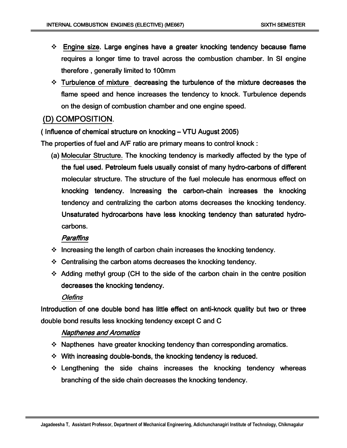- $\div$  Engine size. Large engines have a greater knocking tendency because flame requires a longer time to travel across the combustion chamber. In SI engine therefore, generally limited to 100mm
- $\cdot$  Turbulence of mixture decreasing the turbulence of the mixture decreases the flame speed and hence increases the tendency to knock. Turbulence depends on the design of combustion chamber and one engine speed.

### (D) COMPOSITION.

( Influence of chemical structure on knocking –  $VTU$  August 2005)

The properties of fuel and A/F ratio are primary means to control knock :

(a) Molecular Structure. The knocking tendency is markedly affected by the type of the fuel used. Petroleum fuels usually consist of many hydro-carbons of different molecular structure. The structure of the fuel molecule has enormous effect on knocking tendency. Increasing the carbon-chain increases the knocking tendency and centralizing the carbon atoms decreases the knocking tendency. Unsaturated hydrocarbons have less knocking tendency than saturated hydrocarbons.

### **Paraffins**

- $\cdot$  Increasing the length of carbon chain increases the knocking tendency.
- $\div$  Centralising the carbon atoms decreases the knocking tendency.
- $\div$  Adding methyl group (CH to the side of the carbon chain in the centre position decreases the knocking tendency.

### **Olefins**

Introduction of one double bond has little effect on anti-knock quality but two or three double bond results less knocking tendency except C and C

### Napthenes and Aromatics

- $\div$  Napthenes have greater knocking tendency than corresponding aromatics.
- $\cdot$  With increasing double-bonds, the knocking tendency is reduced.
- $\div$  Lengthening the side chains increases the knocking tendency whereas branching of the side chain decreases the knocking tendency.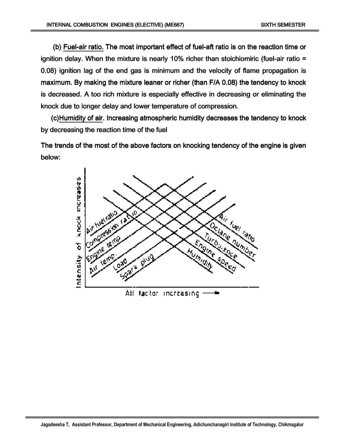(b) Fuel-air ratio. The most important effect of fuel-aft ratio is on the reaction time or ignition delay. When the mixture is nearly 10% richer than stoichiomiric (fuel-air ratio = 0.08) ignition lag of the end gas is minimum and the velocity of flame propagation is maximum. By making the mixture leaner or richer (than F/A 0.08) the tendency to knock is decreased. A too rich mixture is especially effective in decreasing or eliminating the knock due to longer delay and lower temperature of compression.

(c)Humidity of air. Increasing atmospheric humidity decreases the tendency to knock by decreasing the reaction time of the fuel

The trends of the most of the above factors on knocking tendency of the engine is given below:

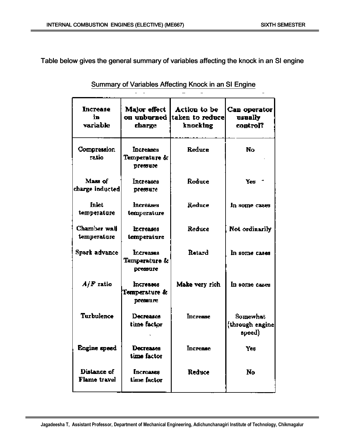Table below gives the general summary of variables affecting the knock in an SI engine

| <b>Increase</b><br>in.<br>variable | Major effect<br>on unburned  <br>charge       | Action to be<br>taken to reduce<br>knocking | Can operator<br>usually<br>control?  |
|------------------------------------|-----------------------------------------------|---------------------------------------------|--------------------------------------|
| Compression<br>ratio               | <b>Increases</b><br>Temperature &<br>pressure | Reduce                                      | No                                   |
| Mass of<br>charge inducted         | Increases<br>pressure                         | Reduce                                      | Yes +                                |
| Inlet<br>temperature               | <b>Increases</b><br>temperature               | Reduce                                      | In some cases                        |
| Chamber wall<br>temperature        | <b>Increases</b><br>temperature               | Reduce                                      | Not ordinarily                       |
| <b>Spark advance</b>               | <b>Increases</b><br>Temperature &<br>pressure | Retard                                      | In some cases                        |
| $A/F$ ratio                        | Increases<br>Temperature &<br>pressure        | Make very rich                              | In some cases                        |
| Turbulence                         | Decreases<br>time factor                      | Increase                                    | Somewhat<br>through engine<br>speed) |
| Engine speed                       | Decreases<br>time factor                      | <b>Increase</b>                             | Yes                                  |
| Distance of<br>Flame travel        | <b>Increases</b><br>time factor               | Reduce                                      | <b>No</b>                            |

Summary of Variables Affecting Knock in an SI Engine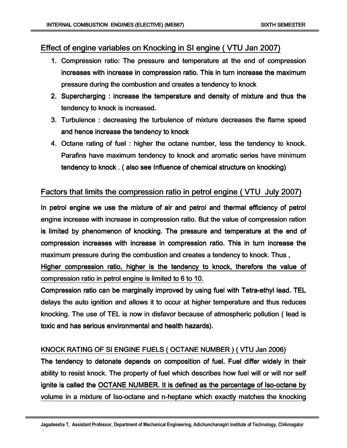# Effect of engine variables on Knocking in SI engine (VTU Jan 2007)

- 1. Compression ratio: The pressure and temperature at the end of compression increases with increase in compression ratio. This in turn increase the maximum pressure during the combustion and creates a tendency to knock
- 2. Supercharging : increase the temperature and density of mixture and thus the tendency to knock is increased.
- 3. Turbulence : decreasing the turbulence of mixture decreases the flame speed and hence increase the tendency to knock
- 4. Octane rating of fuel : higher the octane number, less the tendency to knock. Parafins have maximum tendency to knock and aromatic series have minimum tendency to knock . ( also see Influence of chemical structure on knocking)

# Factors that limits the compression ratio in petrol engine (VTU July 2007)

In petrol engine we use the mixture of air and petrol and thermal efficiency of petrol engine increase with increase in compression ratio. But the value of compression ration is limited by phenomenon of knocking. The pressure and temperature at the end of compression increases with increase in compression ratio. This in turn increase the maximum pressure during the combustion and creates a tendency to knock. Thus,

Higher compression ratio, higher is the tendency to knock, therefore the value of compression ratio in petrol engine is limited to 6 to 10.

Compression ratio can be marginally improved by using fuel with Tetra-ethyl lead. TEL delays the auto ignition and allows it to occur at higher temperature and thus reduces knocking. The use of TEL is now in disfavor because of atmospheric pollution ( lead is toxic and has serious environmental and health hazards).

### KNOCK RATING OF SI ENGINE FUELS ( OCTANE NUMBER ) ( VTU Jan 2006)

The tendency to detonate depends on composition of fuel. Fuel differ widely in their ability to resist knock. The property of fuel which describes how fuel will or will nor self ignite is called the OCTANE NUMBER. It is defined as the percentage of Iso-octane by volume in a mixture of Iso-octane and n-heptane which exactly matches the knocking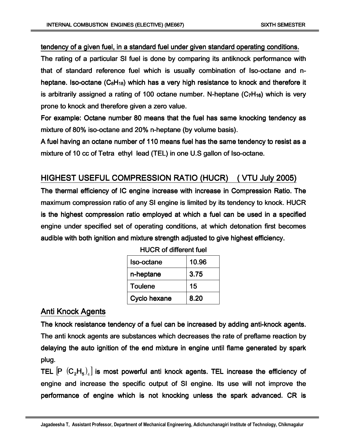tendency of a given fuel, in a standard fuel under given standard operating conditions.

The rating of a particular SI fuel is done by comparing its antiknock performance with that of standard reference fuel which is usually combination of Iso-octane and nheptane. Iso-octane ( $C_8H_{18}$ ) which has a very high resistance to knock and therefore it is arbitrarily assigned a rating of 100 octane number. N-heptane  $(C_7H_{16})$  which is very prone to knock and therefore given a zero value.

For example: Octane number 80 means that the fuel has same knocking tendency as mixture of 80% iso-octane and 20% n-heptane (by volume basis).

A fuel having an octane number of 110 means fuel has the same tendency to resist as a mixture of 10 cc of Tetra ethyl lead (TEL) in one U.S gallon of Iso-octane.

### HIGHEST USEFUL COMPRESSION RATIO (HUCR) ( VTU July 2005)

The thermal efficiency of IC engine increase with increase in Compression Ratio. The maximum compression ratio of any SI engine is limited by its tendency to knock. HUCR is the highest compression ratio employed at which a fuel can be used in a specified engine under specified set of operating conditions, at which detonation first becomes audible with both ignition and mixture strength adjusted to give highest efficiency.

| Iso-octane     | 10.96 |
|----------------|-------|
| n-heptane      | 3.75  |
| <b>Toulene</b> | 15    |
| Cyclo hexane   | 8.20  |

### Anti Knock Agents

The knock resistance tendency of a fuel can be increased by adding anti-knock agents. The anti knock agents are substances which decreases the rate of preflame reaction by delaying the auto ignition of the end mixture in engine until flame generated by spark plug.

TEL  $[P (C_2 H_5)_4]$  is most powerful anti knock agents. TEL increase the efficiency of engine and increase the specific output of SI engine. Its use will not improve the performance of engine which is not knocking unless the spark advanced. CR is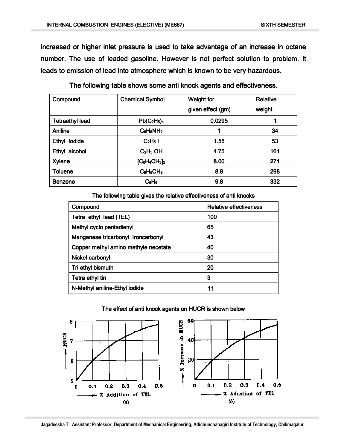increased or higher inlet pressure is used to take advantage of an increase in octane number. The use of leaded gasoline. However is not perfect solution to problem. It leads to emission of lead into atmosphere which is known to be very hazardous.

| Compound               | <b>Chemical Symbol</b>          | <b>Weight for</b> | <b>Relative</b> |
|------------------------|---------------------------------|-------------------|-----------------|
|                        |                                 | given effect (gm) | weight          |
| <b>Tetraethyl lead</b> | $Pb(C_2H_5)_4$                  | 0.0295            | 1               |
| Aniline                | $C_6H_5NH_2$                    | 1                 | 34              |
| Ethyl lodide           | C <sub>2</sub> H <sub>5</sub> I | 1.55              | 53              |
| Ethyl alcohol          | $C2H5$ OH                       | 4.75              | 161             |
| <b>Xylene</b>          | $[C_6H_4CH_3]_2$                | 8.00              | 271             |
| <b>Toluene</b>         | $C_6H_5CH_3$                    | 8.8               | 298             |
| <b>Benzene</b>         | $C_6H_6$                        | 9.8               | 332             |

The following table shows some anti knock agents and effectiveness.

The following table gives the relative effectiveness of anti knocks

| Compound                              | <b>Relative effectiveness</b> |  |
|---------------------------------------|-------------------------------|--|
| Tetra ethyl lead (TEL)                | 100                           |  |
| Methyl cyclo pentadienyl              | 65                            |  |
| Manganese tricarbonyl Ironcarbonyl    | 43                            |  |
| Copper methyl arnino methyle necetate | 40                            |  |
| Nickel carbonyl                       | 30                            |  |
| Tri ethyl bismuth                     | 20                            |  |
| Tetra ethyl tin                       | 3                             |  |
| N-Methyl aniline-Ethyl iodide         | 11                            |  |

#### The effect of anti knock agents on HUCR is shown below